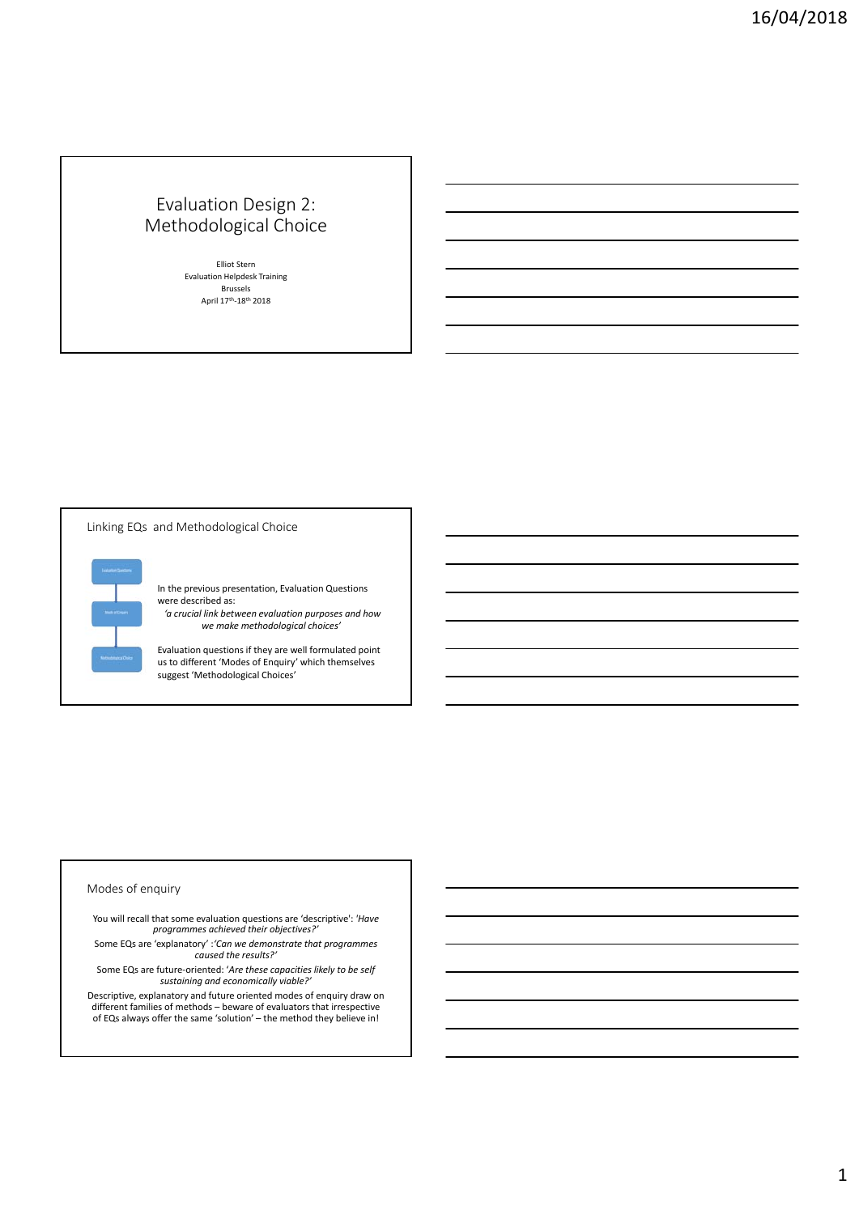# Evaluation Design 2: Methodological Choice

Elliot Stern Evaluation Helpdesk Training Brussels April 17<sup>th</sup>-18<sup>th</sup> 2018

Linking EQs and Methodological Choice

In the previous presentation, Evaluation Questions were described as: *'a crucial link between evaluation purposes and how we make methodological choices'*

Evaluation questions if they are well formulated point us to different 'Modes of Enquiry' which themselves suggest 'Methodological Choices'

## Modes of enquiry

You will recall that some evaluation questions are 'descriptive': *'Have programmes achieved their objectives?'*

Some EQs are 'explanatory' :*'Can we demonstrate that programmes caused the results?'*

Some EQs are future‐oriented: '*Are these capacities likely to be self sustaining and economically viable?'*

Descriptive, explanatory and future oriented modes of enquiry draw on different families of methods – beware of evaluators that irrespective of EQs always offer the same 'solution' – the method they believe in!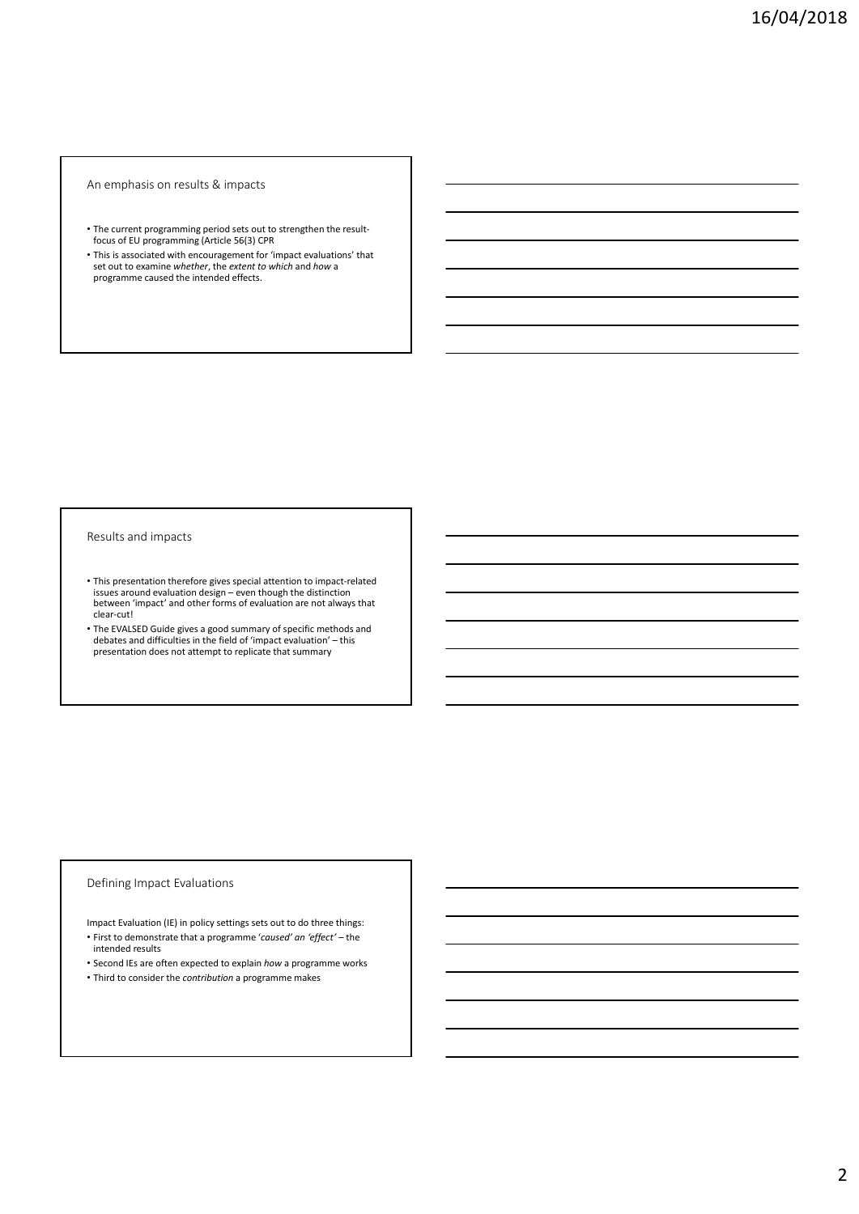#### An emphasis on results & impacts

- The current programming period sets out to strengthen the result‐ focus of EU programming (Article 56(3) CPR
- This is associated with encouragement for 'impact evaluations' that set out to examine *whether*, the *extent to which* and *how* a programme caused the intended effects.

## Results and impacts

- This presentation therefore gives special attention to impact‐related issues around evaluation design – even though the distinction between 'impact' and other forms of evaluation are not always that clear‐cut!
- The EVALSED Guide gives a good summary of specific methods and debates and difficulties in the field of 'impact evaluation' this presentation does not attempt to replicate that summary

## Defining Impact Evaluations

Impact Evaluation (IE) in policy settings sets out to do three things:

- First to demonstrate that a programme '*caused' an 'effect'* the intended results
- Second IEs are often expected to explain *how* a programme works
- Third to consider the *contribution* a programme makes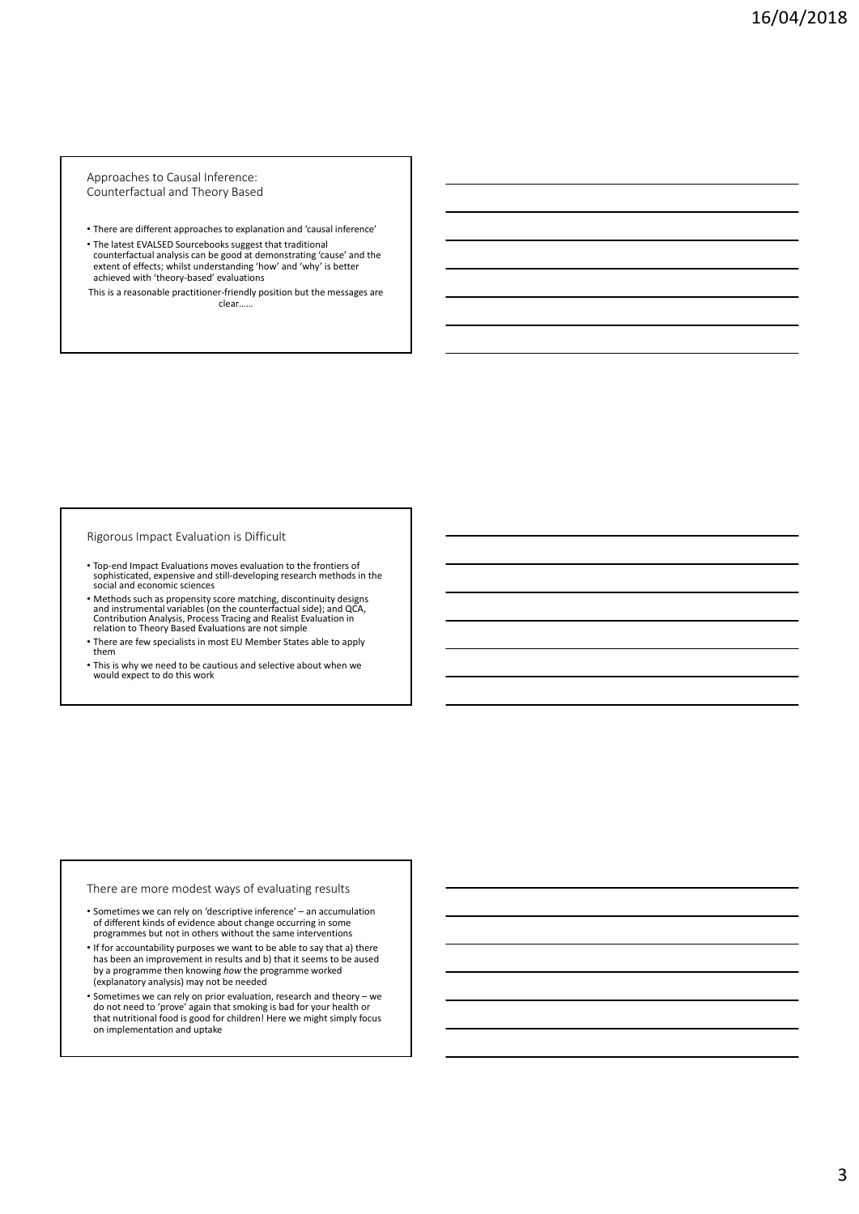Approaches to Causal Inference: Counterfactual and Theory Based

- There are different approaches to explanation and 'causal inference'
- The latest EVALSED Sourcebooks suggest that traditional counterfactual analysis can be good at demonstrating 'cause' and the extent of effects; whilst understanding 'how' and 'why' is better achieved with 'theory‐based' evaluations

This is a reasonable practitioner‐friendly position but the messages are clear……

#### Rigorous Impact Evaluation is Difficult

- Top‐end Impact Evaluations moves evaluation to the frontiers of sophisticated, expensive and still‐developing research methods in the social and economic sciences
- Methods such as propensity score matching, discontinuity designs<br>and instrumental variables (on the counterfactual side); and QCA,<br>Contribution Analysis, Process Tracing and Realist Evaluation in<br>relation to Theory Based
- There are few specialists in most EU Member States able to apply them
- This is why we need to be cautious and selective about when we would expect to do this work

There are more modest ways of evaluating results

- Sometimes we can rely on 'descriptive inference' an accumulation of different kinds of evidence about change occurring in some programmes but not in others without the same interventions
- If for accountability purposes we want to be able to say that a) there has been an improvement in results and b) that it seems to be aused by a programme then knowing *how* the programme worked (explanatory analysis) may not be needed
- Sometimes we can rely on prior evaluation, research and theory we do not need to 'prove' again that smoking is bad for your health or that nutritional food is good for children! Here we might simply focus on implementation and uptake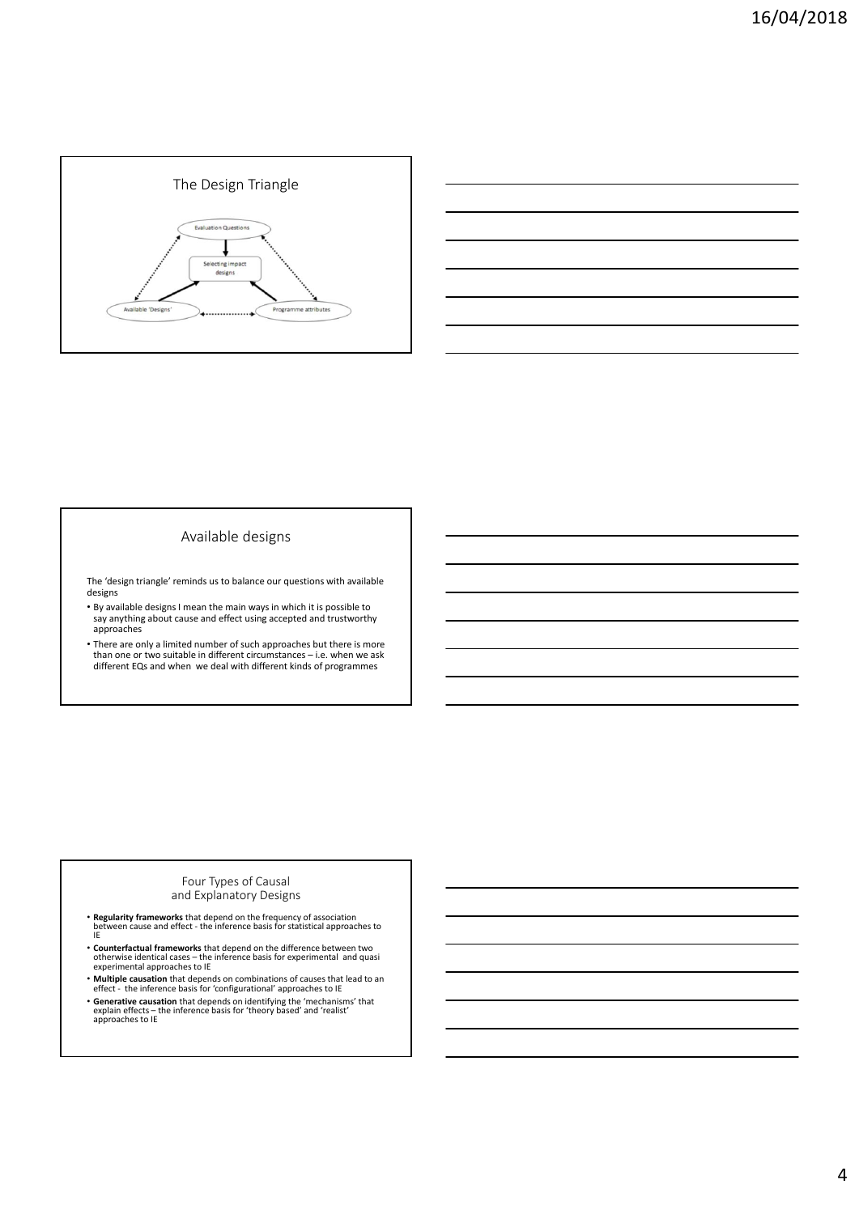



## Available designs

The 'design triangle' reminds us to balance our questions with available designs

- By available designs I mean the main ways in which it is possible to say anything about cause and effect using accepted and trustworthy approaches
- There are only a limited number of such approaches but there is more than one or two suitable in different circumstances – i.e. when we ask different EQs and when we deal with different kinds of programmes

## Four Types of Causal and Explanatory Designs

• **Regularity frameworks** that depend on the frequency of association<br>between cause and effect - the inference basis for statistical approaches to<br>IE

- **Counterfactual frameworks** that depend on the difference between two<br>otherwise identical cases the inference basis for experimental and quasi<br>experimental approaches to IE
- **Multiple causation** that depends on combinations of causes that lead to an effect the inference basis for 'configurational' approaches to IE
- **Generative causation** that depends on identifying the 'mechanisms' that explain effects the inference basis for 'theory based' and 'realist' approaches to IE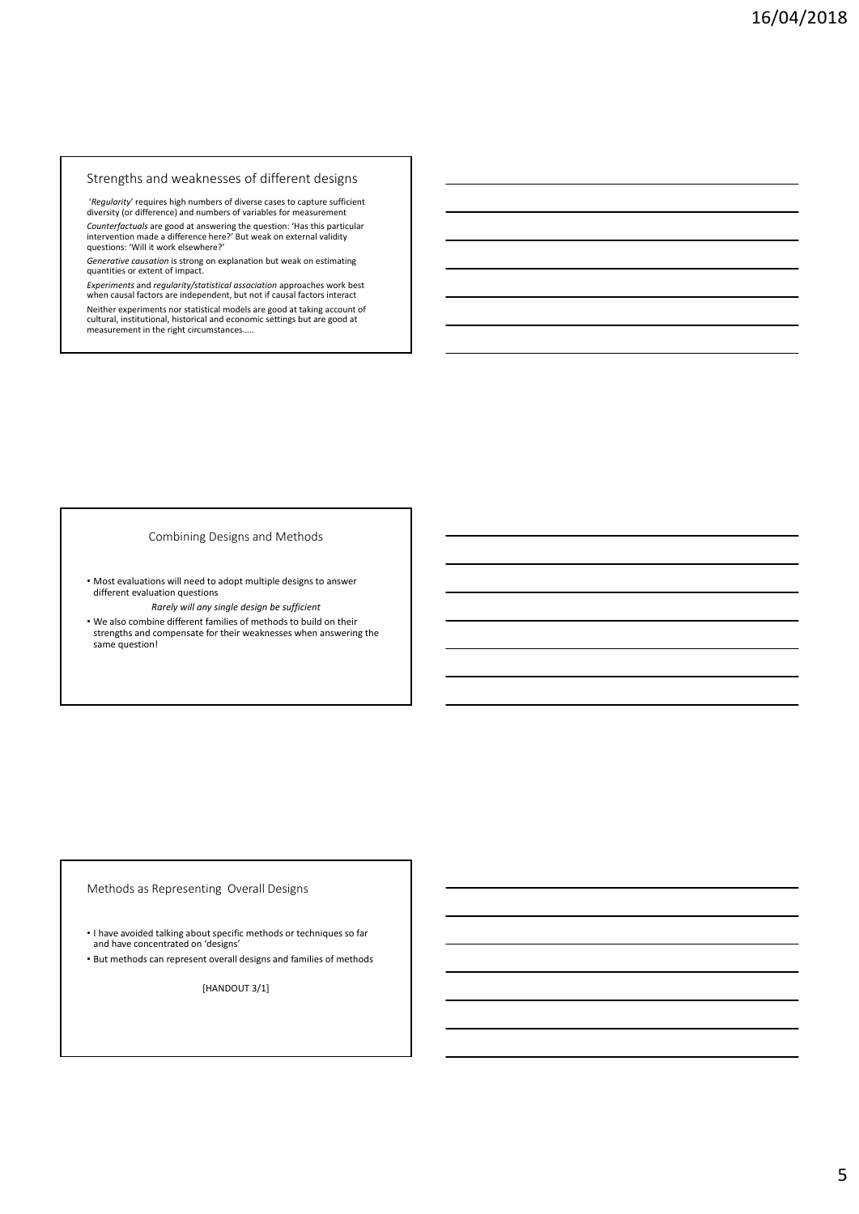#### Strengths and weaknesses of different designs

'*Regularity*' requires high numbers of diverse cases to capture sufficient diversity (or difference) and numbers of variables for measurement *Counterfactuals* are good at answering the question: 'Has this particular intervention made a difference here?' But weak on external validity questions: 'Will it work elsewhere?'

*Generative causation* is strong on explanation but weak on estimating quantities or extent of impact.

*Experiments* and *regularity/statistical association* approaches work best when causal factors are independent, but not if causal factors interact

Neither experiments nor statistical models are good at taking account of cultural, institutional, historical and economic settings but are good at measurement in the right circumstances…..

## Combining Designs and Methods

- Most evaluations will need to adopt multiple designs to answer different evaluation questions
	- *Rarely will any single design be sufficient*
- We also combine different families of methods to build on their strengths and compensate for their weaknesses when answering the same question!

## Methods as Representing Overall Designs

- I have avoided talking about specific methods or techniques so far and have concentrated on 'designs'
- But methods can represent overall designs and families of methods

[HANDOUT 3/1]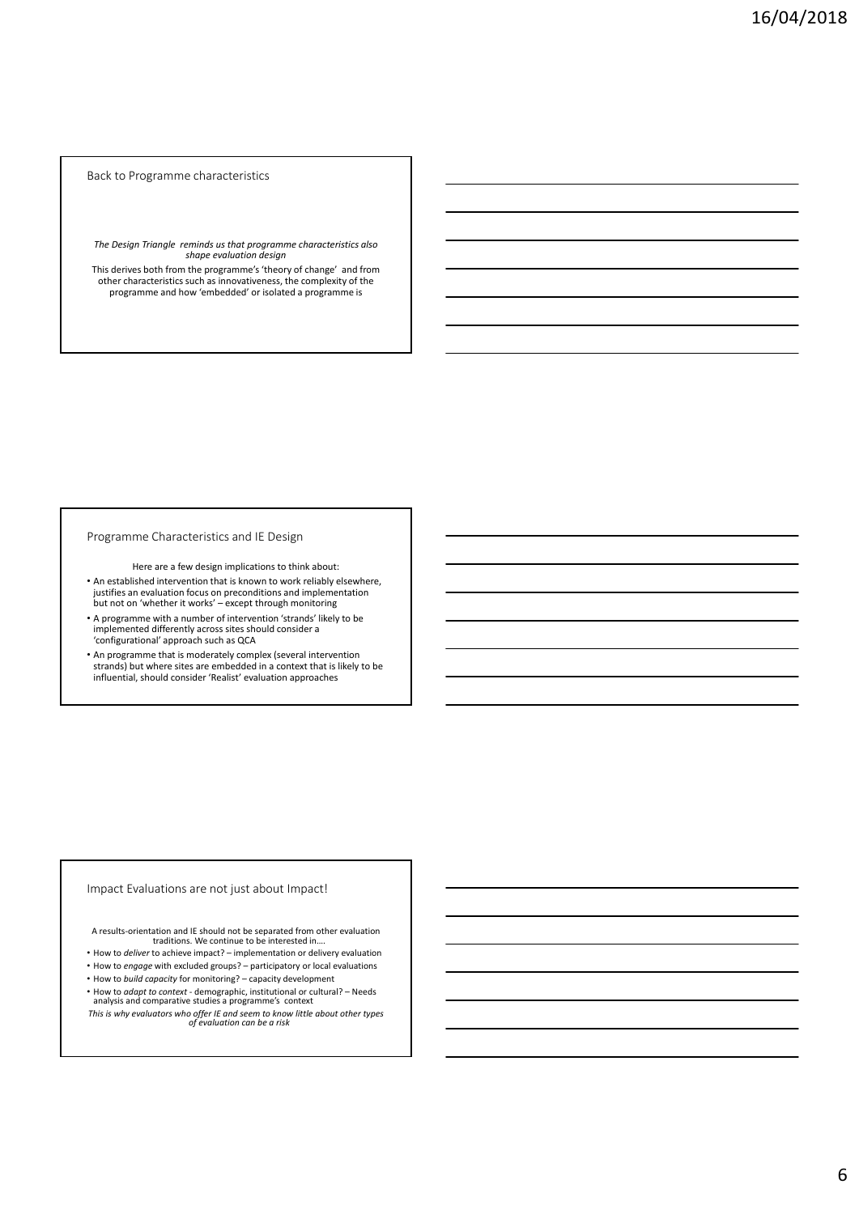#### Back to Programme characteristics

*The Design Triangle reminds us that programme characteristics also shape evaluation design*

This derives both from the programme's 'theory of change' and from other characteristics such as innovativeness, the complexity of the programme and how 'embedded' or isolated a programme is

#### Programme Characteristics and IE Design

Here are a few design implications to think about:

- An established intervention that is known to work reliably elsewhere, justifies an evaluation focus on preconditions and implementation but not on 'whether it works' – except through monitoring
- A programme with a number of intervention 'strands' likely to be implemented differently across sites should consider a 'configurational' approach such as QCA
- An programme that is moderately complex (several intervention strands) but where sites are embedded in a context that is likely to be influential, should consider 'Realist' evaluation approaches

## Impact Evaluations are not just about Impact!

A results‐orientation and IE should not be separated from other evaluation traditions. We continue to be interested in….

- How to *deliver* to achieve impact? implementation or delivery evaluation
- How to *engage* with excluded groups? participatory or local evaluations
- How to *build capacity* for monitoring? capacity development
- How to *adapt to context* ‐ demographic, institutional or cultural? Needs analysis and comparative studies a programme's context

This is why evaluators who offer IE and seem to know little about other types<br>of evaluation can be a risk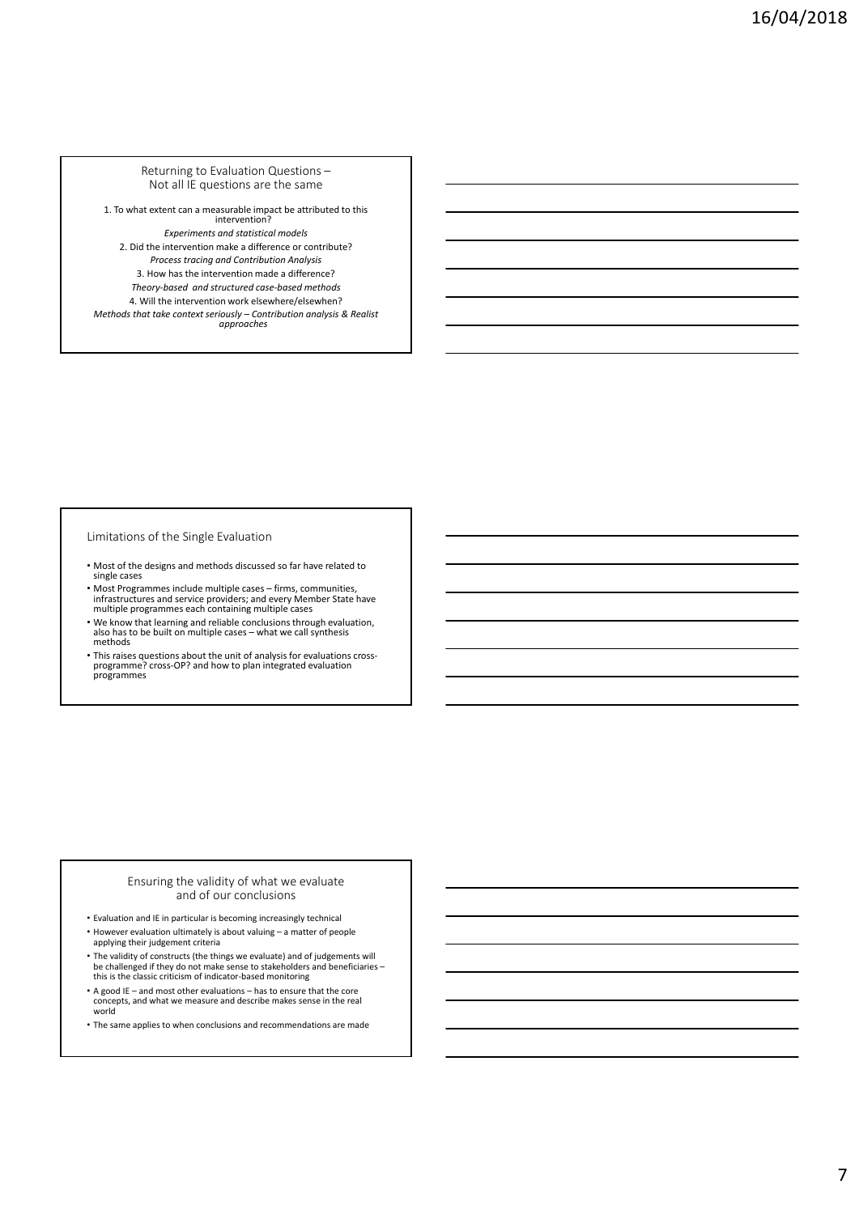Returning to Evaluation Questions – Not all IE questions are the same

1. To what extent can a measurable impact be attributed to this intervention? *Experiments and statistical models* 2. Did the intervention make a difference or contribute? *Process tracing and Contribution Analysis* 3. How has the intervention made a difference? *Theory‐based and structured case‐based methods* 4. Will the intervention work elsewhere/elsewhen? *Methods that take context seriously – Contribution analysis & Realist approaches*

#### Limitations of the Single Evaluation

- Most of the designs and methods discussed so far have related to single cases
- Most Programmes include multiple cases firms, communities, infrastructures and service providers; and every Member State have multiple programmes each containing multiple cases
- We know that learning and reliable conclusions through evaluation, also has to be built on multiple cases – what we call synthesis methods
- This raises questions about the unit of analysis for evaluations crossprogramme? cross-OP? and how to plan integrated evaluation<br>programmes

## Ensuring the validity of what we evaluate and of our conclusions

- Evaluation and IE in particular is becoming increasingly technical
- However evaluation ultimately is about valuing a matter of people applying their judgement criteria
- The validity of constructs (the things we evaluate) and of judgements will be challenged if they do not make sense to stakeholders and beneficiaries – this is the classic criticism of indicator‐based monitoring
- A good IE and most other evaluations has to ensure that the core concepts, and what we measure and describe makes sense in the real world
- The same applies to when conclusions and recommendations are made